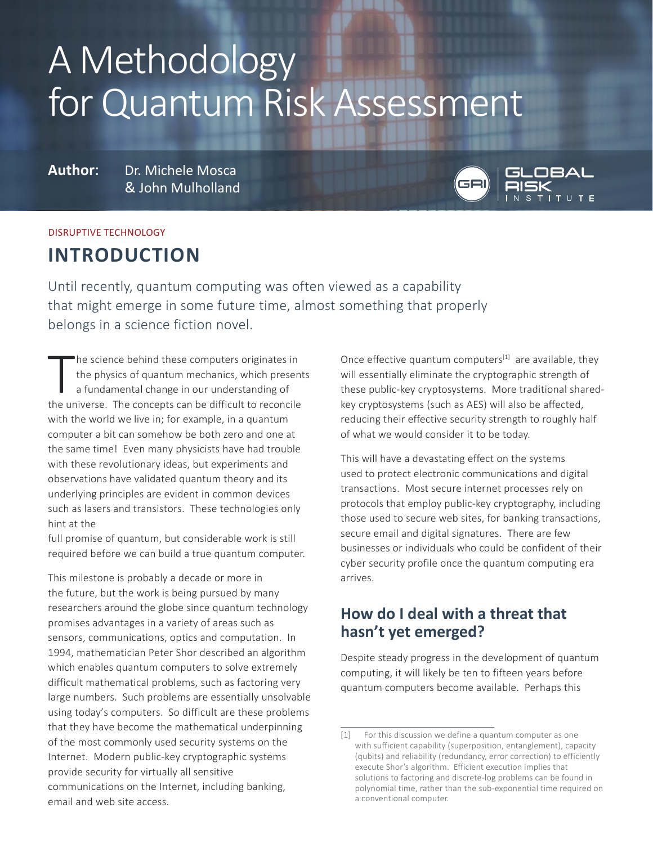# A Methodology for Quantum Risk Assessment

**Author**: Dr. Michele Mosca & John Mulholland



#### DISRUPTIVE TECHNOLOGY

## **INTRODUCTION**

Until recently, quantum computing was often viewed as a capability that might emerge in some future time, almost something that properly belongs in a science fiction novel.

The science behind these computers originates in<br>the physics of quantum mechanics, which presen<br>a fundamental change in our understanding of<br>the universe. The concepts can be difficult to reconcile he science behind these computers originates in the physics of quantum mechanics, which presents a fundamental change in our understanding of with the world we live in; for example, in a quantum computer a bit can somehow be both zero and one at the same time! Even many physicists have had trouble with these revolutionary ideas, but experiments and observations have validated quantum theory and its underlying principles are evident in common devices such as lasers and transistors. These technologies only hint at the

full promise of quantum, but considerable work is still required before we can build a true quantum computer.

This milestone is probably a decade or more in the future, but the work is being pursued by many researchers around the globe since quantum technology promises advantages in a variety of areas such as sensors, communications, optics and computation. In 1994, mathematician Peter Shor described an algorithm which enables quantum computers to solve extremely difficult mathematical problems, such as factoring very large numbers. Such problems are essentially unsolvable using today's computers. So difficult are these problems that they have become the mathematical underpinning of the most commonly used security systems on the Internet. Modern public-key cryptographic systems provide security for virtually all sensitive communications on the Internet, including banking, email and web site access.

Once effective quantum computers<sup>[1]</sup> are available, they will essentially eliminate the cryptographic strength of these public-key cryptosystems. More traditional sharedkey cryptosystems (such as AES) will also be affected, reducing their effective security strength to roughly half of what we would consider it to be today.

This will have a devastating effect on the systems used to protect electronic communications and digital transactions. Most secure internet processes rely on protocols that employ public-key cryptography, including those used to secure web sites, for banking transactions, secure email and digital signatures. There are few businesses or individuals who could be confident of their cyber security profile once the quantum computing era arrives.

### **How do I deal with a threat that hasn't yet emerged?**

Despite steady progress in the development of quantum computing, it will likely be ten to fifteen years before quantum computers become available. Perhaps this

<sup>[1]</sup> For this discussion we define a quantum computer as one with sufficient capability (superposition, entanglement), capacity (qubits) and reliability (redundancy, error correction) to efficiently execute Shor's algorithm. Efficient execution implies that solutions to factoring and discrete-log problems can be found in polynomial time, rather than the sub-exponential time required on a conventional computer.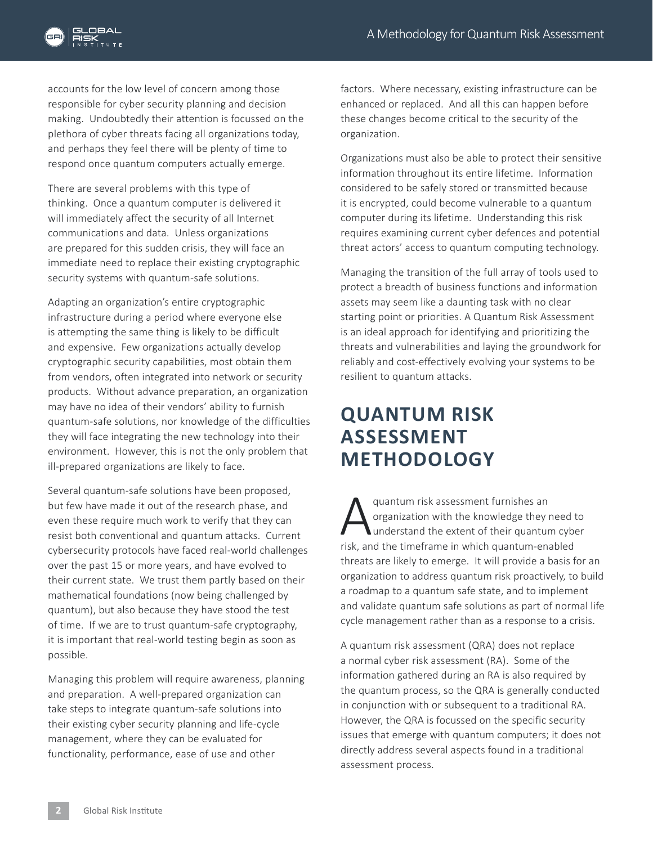

accounts for the low level of concern among those responsible for cyber security planning and decision making. Undoubtedly their attention is focussed on the plethora of cyber threats facing all organizations today, and perhaps they feel there will be plenty of time to respond once quantum computers actually emerge.

There are several problems with this type of thinking. Once a quantum computer is delivered it will immediately affect the security of all Internet communications and data. Unless organizations are prepared for this sudden crisis, they will face an immediate need to replace their existing cryptographic security systems with quantum-safe solutions.

Adapting an organization's entire cryptographic infrastructure during a period where everyone else is attempting the same thing is likely to be difficult and expensive. Few organizations actually develop cryptographic security capabilities, most obtain them from vendors, often integrated into network or security products. Without advance preparation, an organization may have no idea of their vendors' ability to furnish quantum-safe solutions, nor knowledge of the difficulties they will face integrating the new technology into their environment. However, this is not the only problem that ill-prepared organizations are likely to face.

Several quantum-safe solutions have been proposed, but few have made it out of the research phase, and even these require much work to verify that they can resist both conventional and quantum attacks. Current cybersecurity protocols have faced real-world challenges over the past 15 or more years, and have evolved to their current state. We trust them partly based on their mathematical foundations (now being challenged by quantum), but also because they have stood the test of time. If we are to trust quantum-safe cryptography, it is important that real-world testing begin as soon as possible.

Managing this problem will require awareness, planning and preparation. A well-prepared organization can take steps to integrate quantum-safe solutions into their existing cyber security planning and life-cycle management, where they can be evaluated for functionality, performance, ease of use and other

factors. Where necessary, existing infrastructure can be enhanced or replaced. And all this can happen before these changes become critical to the security of the organization.

Organizations must also be able to protect their sensitive information throughout its entire lifetime. Information considered to be safely stored or transmitted because it is encrypted, could become vulnerable to a quantum computer during its lifetime. Understanding this risk requires examining current cyber defences and potential threat actors' access to quantum computing technology.

Managing the transition of the full array of tools used to protect a breadth of business functions and information assets may seem like a daunting task with no clear starting point or priorities. A Quantum Risk Assessment is an ideal approach for identifying and prioritizing the threats and vulnerabilities and laying the groundwork for reliably and cost-effectively evolving your systems to be resilient to quantum attacks.

## **QUANTUM RISK ASSESSMENT METHODOLOGY**

quantum risk assessment furnishes an<br>organization with the knowledge they in<br>understand the extent of their quantum<br>risk and the timeframe in which quantum-enorganization with the knowledge they need to understand the extent of their quantum cyber risk, and the timeframe in which quantum-enabled threats are likely to emerge. It will provide a basis for an organization to address quantum risk proactively, to build a roadmap to a quantum safe state, and to implement and validate quantum safe solutions as part of normal life cycle management rather than as a response to a crisis.

A quantum risk assessment (QRA) does not replace a normal cyber risk assessment (RA). Some of the information gathered during an RA is also required by the quantum process, so the QRA is generally conducted in conjunction with or subsequent to a traditional RA. However, the QRA is focussed on the specific security issues that emerge with quantum computers; it does not directly address several aspects found in a traditional assessment process.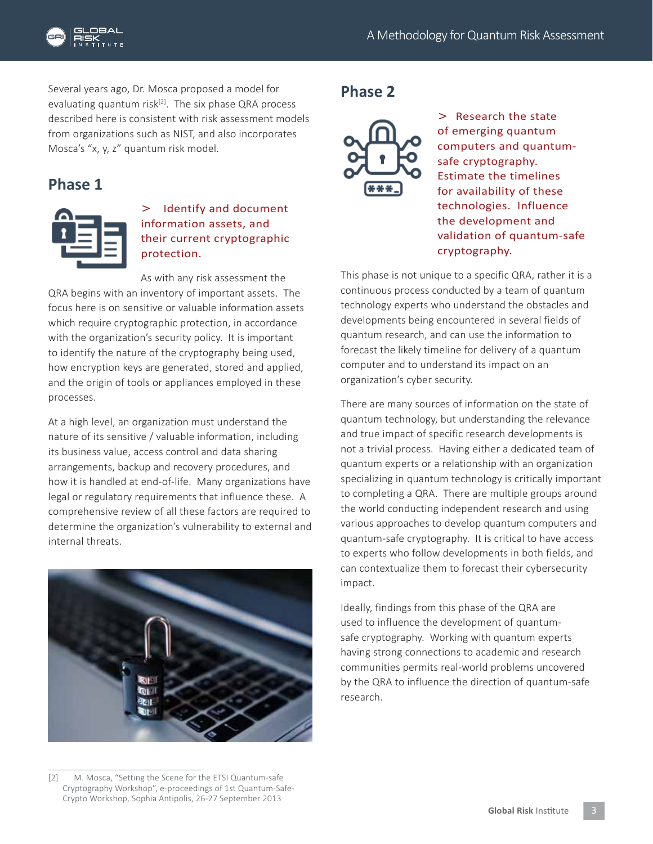

Several years ago, Dr. Mosca proposed a model for evaluating quantum risk<sup>[2]</sup>. The six phase QRA process described here is consistent with risk assessment models from organizations such as NIST, and also incorporates Mosca's "x, y, z" quantum risk model.

## **Phase 1**



#### > Identify and document information assets, and their current cryptographic protection.

As with any risk assessment the

QRA begins with an inventory of important assets. The focus here is on sensitive or valuable information assets which require cryptographic protection, in accordance with the organization's security policy. It is important to identify the nature of the cryptography being used, how encryption keys are generated, stored and applied, and the origin of tools or appliances employed in these processes.

At a high level, an organization must understand the nature of its sensitive / valuable information, including its business value, access control and data sharing arrangements, backup and recovery procedures, and how it is handled at end-of-life. Many organizations have legal or regulatory requirements that influence these. A comprehensive review of all these factors are required to determine the organization's vulnerability to external and internal threats.



**Phase 2**



> Research the state of emerging quantum computers and quantumsafe cryptography. Estimate the timelines for availability of these technologies. Influence the development and validation of quantum-safe cryptography.

This phase is not unique to a specific QRA, rather it is a continuous process conducted by a team of quantum technology experts who understand the obstacles and developments being encountered in several fields of quantum research, and can use the information to forecast the likely timeline for delivery of a quantum computer and to understand its impact on an organization's cyber security.

There are many sources of information on the state of quantum technology, but understanding the relevance and true impact of specific research developments is not a trivial process. Having either a dedicated team of quantum experts or a relationship with an organization specializing in quantum technology is critically important to completing a QRA. There are multiple groups around the world conducting independent research and using various approaches to develop quantum computers and quantum-safe cryptography. It is critical to have access to experts who follow developments in both fields, and can contextualize them to forecast their cybersecurity impact.

Ideally, findings from this phase of the QRA are used to influence the development of quantumsafe cryptography. Working with quantum experts having strong connections to academic and research communities permits real-world problems uncovered by the QRA to influence the direction of quantum-safe research.

<sup>[2]</sup> M. Mosca, "Setting the Scene for the ETSI Quantum-safe Cryptography Workshop", e-proceedings of 1st Quantum-Safe-Crypto Workshop, Sophia Antipolis, 26-27 September 2013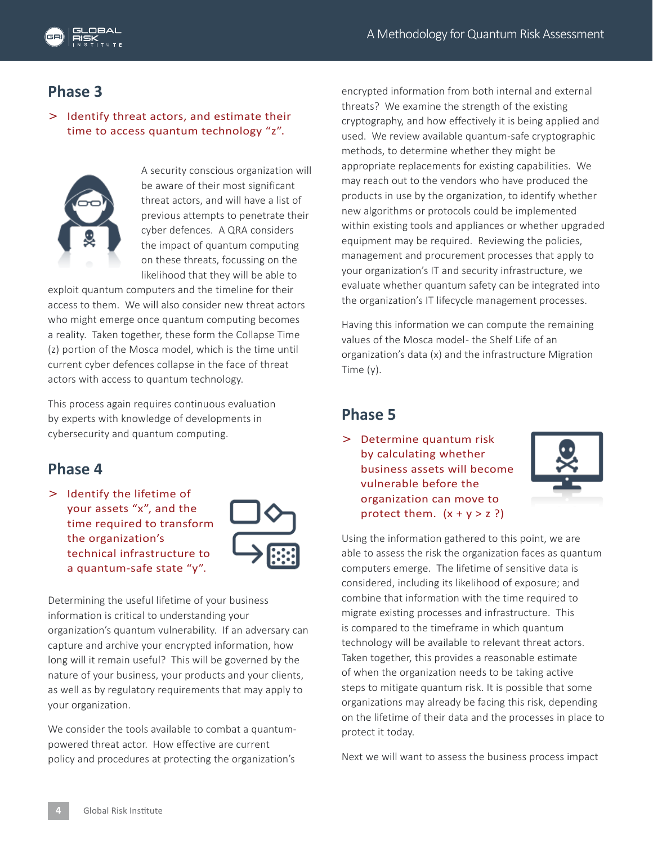

## **Phase 3**

> Identify threat actors, and estimate their time to access quantum technology "z".



A security conscious organization will be aware of their most significant threat actors, and will have a list of previous attempts to penetrate their cyber defences. A QRA considers the impact of quantum computing on these threats, focussing on the likelihood that they will be able to

exploit quantum computers and the timeline for their access to them. We will also consider new threat actors who might emerge once quantum computing becomes a reality. Taken together, these form the Collapse Time (z) portion of the Mosca model, which is the time until current cyber defences collapse in the face of threat actors with access to quantum technology.

This process again requires continuous evaluation by experts with knowledge of developments in cybersecurity and quantum computing.

## **Phase 4**

> Identify the lifetime of your assets "x", and the time required to transform the organization's technical infrastructure to a quantum-safe state "y".



Determining the useful lifetime of your business information is critical to understanding your organization's quantum vulnerability. If an adversary can capture and archive your encrypted information, how long will it remain useful? This will be governed by the nature of your business, your products and your clients, as well as by regulatory requirements that may apply to your organization.

We consider the tools available to combat a quantumpowered threat actor. How effective are current policy and procedures at protecting the organization's

encrypted information from both internal and external threats? We examine the strength of the existing cryptography, and how effectively it is being applied and used. We review available quantum-safe cryptographic methods, to determine whether they might be appropriate replacements for existing capabilities. We may reach out to the vendors who have produced the products in use by the organization, to identify whether new algorithms or protocols could be implemented within existing tools and appliances or whether upgraded equipment may be required. Reviewing the policies, management and procurement processes that apply to your organization's IT and security infrastructure, we evaluate whether quantum safety can be integrated into the organization's IT lifecycle management processes.

Having this information we can compute the remaining values of the Mosca model- the Shelf Life of an organization's data (x) and the infrastructure Migration Time (y).

### **Phase 5**

> Determine quantum risk by calculating whether business assets will become vulnerable before the organization can move to protect them.  $(x + y > z ?)$ 



Using the information gathered to this point, we are able to assess the risk the organization faces as quantum computers emerge. The lifetime of sensitive data is considered, including its likelihood of exposure; and combine that information with the time required to migrate existing processes and infrastructure. This is compared to the timeframe in which quantum technology will be available to relevant threat actors. Taken together, this provides a reasonable estimate of when the organization needs to be taking active steps to mitigate quantum risk. It is possible that some organizations may already be facing this risk, depending on the lifetime of their data and the processes in place to protect it today.

Next we will want to assess the business process impact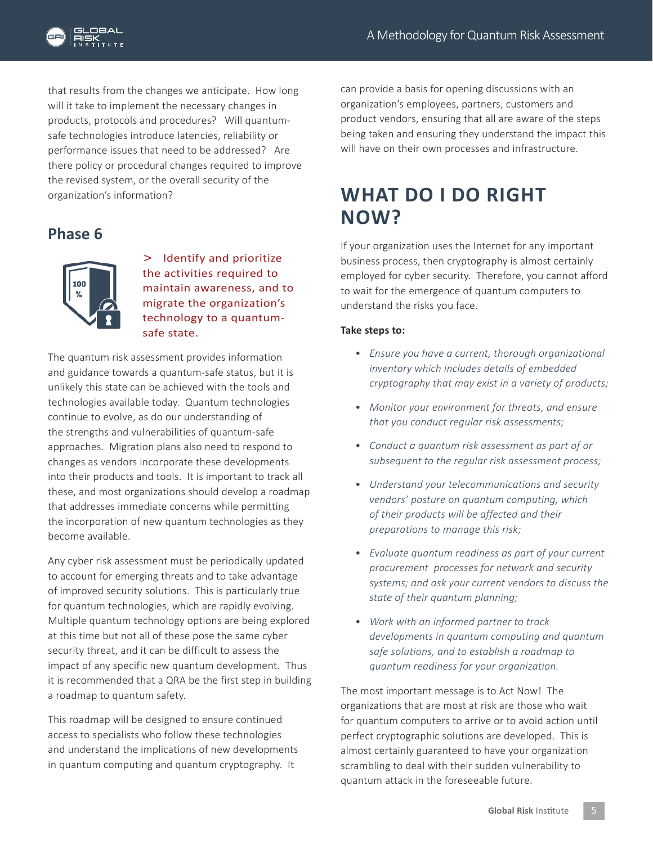

that results from the changes we anticipate. How long will it take to implement the necessary changes in products, protocols and procedures? Will quantumsafe technologies introduce latencies, reliability or performance issues that need to be addressed? Are there policy or procedural changes required to improve the revised system, or the overall security of the organization's information?

## **Phase 6**



> Identify and prioritize the activities required to maintain awareness, and to migrate the organization's technology to a quantumsafe state.

The quantum risk assessment provides information and guidance towards a quantum-safe status, but it is unlikely this state can be achieved with the tools and technologies available today. Quantum technologies continue to evolve, as do our understanding of the strengths and vulnerabilities of quantum-safe approaches. Migration plans also need to respond to changes as vendors incorporate these developments into their products and tools. It is important to track all these, and most organizations should develop a roadmap that addresses immediate concerns while permitting the incorporation of new quantum technologies as they become available.

Any cyber risk assessment must be periodically updated to account for emerging threats and to take advantage of improved security solutions. This is particularly true for quantum technologies, which are rapidly evolving. Multiple quantum technology options are being explored at this time but not all of these pose the same cyber security threat, and it can be difficult to assess the impact of any specific new quantum development. Thus it is recommended that a QRA be the first step in building a roadmap to quantum safety.

This roadmap will be designed to ensure continued access to specialists who follow these technologies and understand the implications of new developments in quantum computing and quantum cryptography. It

can provide a basis for opening discussions with an organization's employees, partners, customers and product vendors, ensuring that all are aware of the steps being taken and ensuring they understand the impact this will have on their own processes and infrastructure.

# **WHAT DO I DO RIGHT NOW?**

If your organization uses the Internet for any important business process, then cryptography is almost certainly employed for cyber security. Therefore, you cannot afford to wait for the emergence of quantum computers to understand the risks you face.

#### **Take steps to:**

- *• Ensure you have a current, thorough organizational inventory which includes details of embedded cryptography that may exist in a variety of products;*
- *• Monitor your environment for threats, and ensure that you conduct regular risk assessments;*
- *• Conduct a quantum risk assessment as part of or subsequent to the regular risk assessment process;*
- *• Understand your telecommunications and security vendors' posture on quantum computing, which of their products will be affected and their preparations to manage this risk;*
- *• Evaluate quantum readiness as part of your current procurement processes for network and security systems; and ask your current vendors to discuss the state of their quantum planning;*
- *• Work with an informed partner to track developments in quantum computing and quantum safe solutions, and to establish a roadmap to quantum readiness for your organization.*

The most important message is to Act Now! The organizations that are most at risk are those who wait for quantum computers to arrive or to avoid action until perfect cryptographic solutions are developed. This is almost certainly guaranteed to have your organization scrambling to deal with their sudden vulnerability to quantum attack in the foreseeable future.